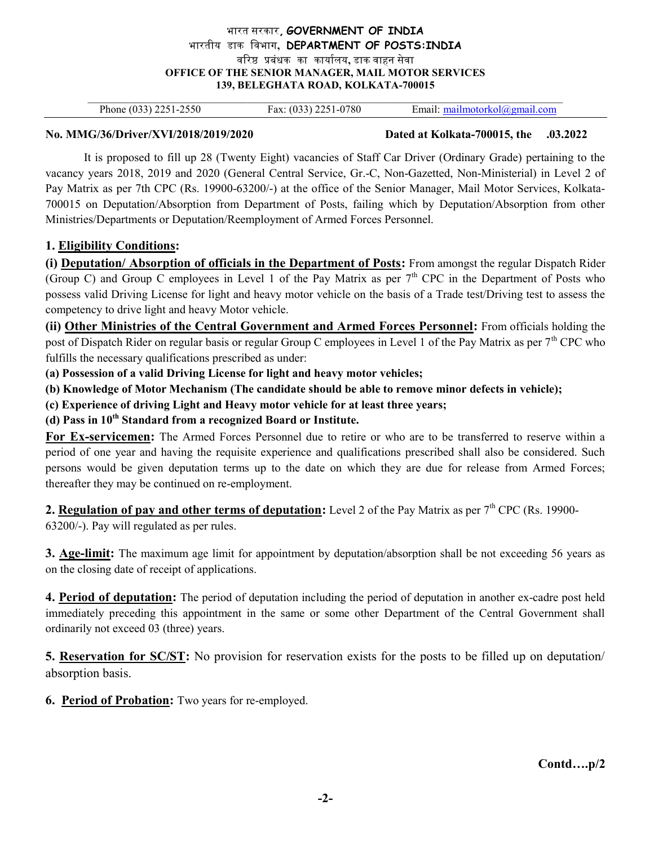## भारत सरकार, GOVERNMENT OF INDIA भारतीय डाक िवभाग, DEPARTMENT OF POSTS:INDIA वरिष्ठ प्रबंधक का कार्यालय, डाक वाहन सेवा OFFICE OF THE SENIOR MANAGER, MAIL MOTOR SERVICES 139, BELEGHATA ROAD, KOLKATA-700015

 $\mathcal{L}_\mathcal{L} = \{ \mathcal{L}_\mathcal{L} = \{ \mathcal{L}_\mathcal{L} = \{ \mathcal{L}_\mathcal{L} = \{ \mathcal{L}_\mathcal{L} = \{ \mathcal{L}_\mathcal{L} = \{ \mathcal{L}_\mathcal{L} = \{ \mathcal{L}_\mathcal{L} = \{ \mathcal{L}_\mathcal{L} = \{ \mathcal{L}_\mathcal{L} = \{ \mathcal{L}_\mathcal{L} = \{ \mathcal{L}_\mathcal{L} = \{ \mathcal{L}_\mathcal{L} = \{ \mathcal{L}_\mathcal{L} = \{ \mathcal{L}_\mathcal{$ Phone (033) 2251-2550 Fax: (033) 2251-0780 Email: mailmotorkol@gmail.com

No. MMG/36/Driver/XVI/2018/2019/2020 Dated at Kolkata-700015, the .03.2022

It is proposed to fill up 28 (Twenty Eight) vacancies of Staff Car Driver (Ordinary Grade) pertaining to the vacancy years 2018, 2019 and 2020 (General Central Service, Gr.-C, Non-Gazetted, Non-Ministerial) in Level 2 of Pay Matrix as per 7th CPC (Rs. 19900-63200/-) at the office of the Senior Manager, Mail Motor Services, Kolkata-700015 on Deputation/Absorption from Department of Posts, failing which by Deputation/Absorption from other Ministries/Departments or Deputation/Reemployment of Armed Forces Personnel.

# 1. Eligibility Conditions:

(i) Deputation/ Absorption of officials in the Department of Posts: From amongst the regular Dispatch Rider (Group C) and Group C employees in Level 1 of the Pay Matrix as per  $7<sup>th</sup>$  CPC in the Department of Posts who possess valid Driving License for light and heavy motor vehicle on the basis of a Trade test/Driving test to assess the competency to drive light and heavy Motor vehicle.

(ii) Other Ministries of the Central Government and Armed Forces Personnel: From officials holding the post of Dispatch Rider on regular basis or regular Group C employees in Level 1 of the Pay Matrix as per  $7<sup>th</sup>$  CPC who fulfills the necessary qualifications prescribed as under:

(a) Possession of a valid Driving License for light and heavy motor vehicles;

(b) Knowledge of Motor Mechanism (The candidate should be able to remove minor defects in vehicle);

(c) Experience of driving Light and Heavy motor vehicle for at least three years;

(d) Pass in  $10^{th}$  Standard from a recognized Board or Institute.

For Ex-servicemen: The Armed Forces Personnel due to retire or who are to be transferred to reserve within a period of one year and having the requisite experience and qualifications prescribed shall also be considered. Such persons would be given deputation terms up to the date on which they are due for release from Armed Forces; thereafter they may be continued on re-employment.

2. Regulation of pay and other terms of deputation: Level 2 of the Pay Matrix as per  $7<sup>th</sup>$  CPC (Rs. 19900-

63200/-). Pay will regulated as per rules.

**3. Age-limit:** The maximum age limit for appointment by deputation/absorption shall be not exceeding 56 years as on the closing date of receipt of applications.

4. Period of deputation: The period of deputation including the period of deputation in another ex-cadre post held immediately preceding this appointment in the same or some other Department of the Central Government shall ordinarily not exceed 03 (three) years.

5. Reservation for SC/ST: No provision for reservation exists for the posts to be filled up on deputation/ absorption basis.

6. Period of Probation: Two years for re-employed.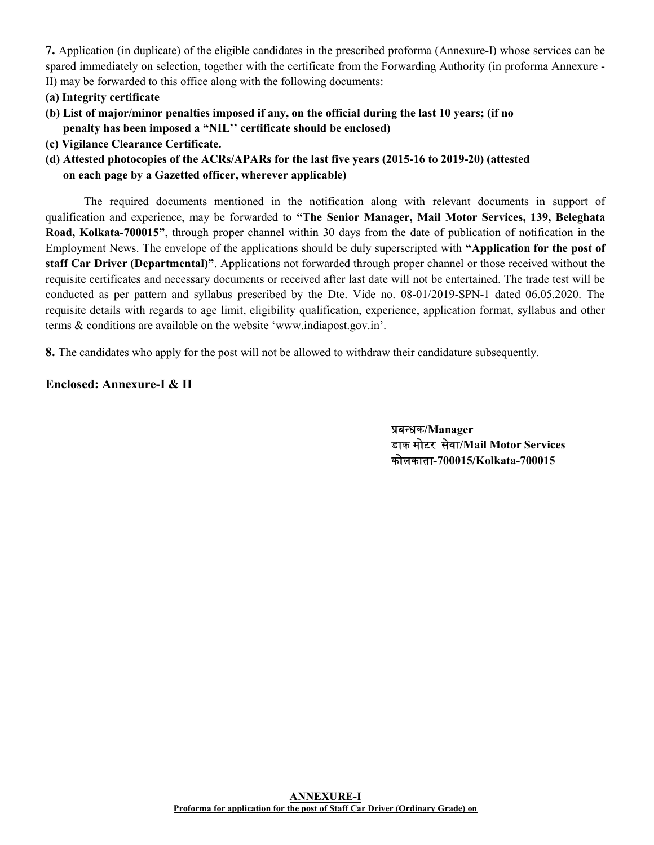7. Application (in duplicate) of the eligible candidates in the prescribed proforma (Annexure-I) whose services can be spared immediately on selection, together with the certificate from the Forwarding Authority (in proforma Annexure - II) may be forwarded to this office along with the following documents:

- (a) Integrity certificate
- (b) List of major/minor penalties imposed if any, on the official during the last 10 years; (if no penalty has been imposed a "NIL'' certificate should be enclosed)
- (c) Vigilance Clearance Certificate.
- (d) Attested photocopies of the ACRs/APARs for the last five years (2015-16 to 2019-20) (attested on each page by a Gazetted officer, wherever applicable)

 The required documents mentioned in the notification along with relevant documents in support of qualification and experience, may be forwarded to "The Senior Manager, Mail Motor Services, 139, Beleghata Road, Kolkata-700015", through proper channel within 30 days from the date of publication of notification in the Employment News. The envelope of the applications should be duly superscripted with "Application for the post of staff Car Driver (Departmental)". Applications not forwarded through proper channel or those received without the requisite certificates and necessary documents or received after last date will not be entertained. The trade test will be conducted as per pattern and syllabus prescribed by the Dte. Vide no. 08-01/2019-SPN-1 dated 06.05.2020. The requisite details with regards to age limit, eligibility qualification, experience, application format, syllabus and other terms & conditions are available on the website 'www.indiapost.gov.in'.

8. The candidates who apply for the post will not be allowed to withdraw their candidature subsequently.

# Enclosed: Annexure-I & II

प्रबन्धक/Manager डाक मोटर सवेा/Mail Motor Services कोलकाता-700015/Kolkata-700015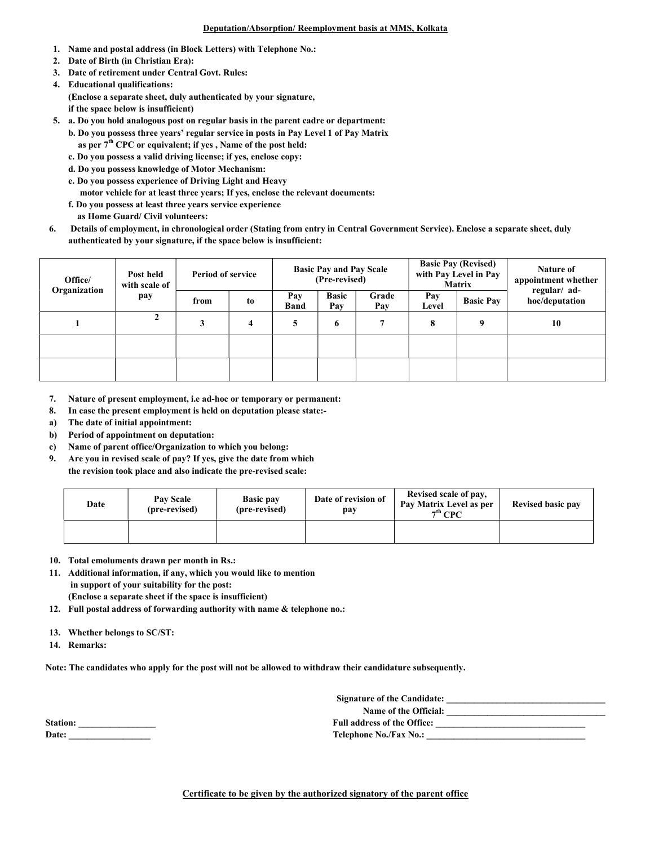### Deputation/Absorption/ Reemployment basis at MMS, Kolkata

- 1. Name and postal address (in Block Letters) with Telephone No.:
- 2. Date of Birth (in Christian Era):
- 3. Date of retirement under Central Govt. Rules:
- 4. Educational qualifications: (Enclose a separate sheet, duly authenticated by your signature, if the space below is insufficient)
- 5. a. Do you hold analogous post on regular basis in the parent cadre or department: b. Do you possess three years' regular service in posts in Pay Level 1 of Pay Matrix as per 7<sup>th</sup> CPC or equivalent; if yes, Name of the post held:
	- c. Do you possess a valid driving license; if yes, enclose copy:
	- d. Do you possess knowledge of Motor Mechanism:
	- e. Do you possess experience of Driving Light and Heavy
	- motor vehicle for at least three years; If yes, enclose the relevant documents:
	- f. Do you possess at least three years service experience
	- as Home Guard/ Civil volunteers:
- 6. Details of employment, in chronological order (Stating from entry in Central Government Service). Enclose a separate sheet, duly authenticated by your signature, if the space below is insufficient:

| Post held<br>Office/<br>Organization<br>pay | with scale of | <b>Period of service</b> |                    | <b>Basic Pay and Pay Scale</b><br>(Pre-revised) |              |              | <b>Basic Pay (Revised)</b><br>with Pay Level in Pay<br><b>Matrix</b> |                                | Nature of<br>appointment whether |
|---------------------------------------------|---------------|--------------------------|--------------------|-------------------------------------------------|--------------|--------------|----------------------------------------------------------------------|--------------------------------|----------------------------------|
|                                             | from          | to                       | Pay<br><b>Band</b> | <b>Basic</b><br>Pay                             | Grade<br>Pay | Pay<br>Level | <b>Basic Pav</b>                                                     | regular/ ad-<br>hoc/deputation |                                  |
|                                             |               |                          | 4                  | 5                                               | 6            |              | 8                                                                    | q                              | 10                               |
|                                             |               |                          |                    |                                                 |              |              |                                                                      |                                |                                  |
|                                             |               |                          |                    |                                                 |              |              |                                                                      |                                |                                  |

- 7. Nature of present employment, i.e ad-hoc or temporary or permanent:
- 8. In case the present employment is held on deputation please state:-
- a) The date of initial appointment:
- b) Period of appointment on deputation:
- c) Name of parent office/Organization to which you belong:
- 9. Are you in revised scale of pay? If yes, give the date from which the revision took place and also indicate the pre-revised scale:

| Date | Pay Scale<br><b>Basic pay</b><br>(pre-revised)<br>(pre-revised) |  | Date of revision of<br>pay | Revised scale of pay,<br>Pay Matrix Level as per<br>$7th$ CPC | Revised basic pay |
|------|-----------------------------------------------------------------|--|----------------------------|---------------------------------------------------------------|-------------------|
|      |                                                                 |  |                            |                                                               |                   |

- 10. Total emoluments drawn per month in Rs.:
- 11. Additional information, if any, which you would like to mention in support of your suitability for the post: (Enclose a separate sheet if the space is insufficient)
- 12. Full postal address of forwarding authority with name & telephone no.:
- 13. Whether belongs to SC/ST:
- 14. Remarks:

Note: The candidates who apply for the post will not be allowed to withdraw their candidature subsequently.

| <b>Station:</b> |  |
|-----------------|--|
| <b>Date:</b>    |  |

Signature of the Candidate: \_\_\_\_\_\_\_\_\_\_\_\_\_\_\_\_\_\_\_\_\_\_\_\_\_\_\_\_\_\_\_\_\_\_\_ Name of the Official: \_\_\_\_\_\_\_\_\_\_\_\_\_\_\_\_\_\_\_\_\_\_\_\_\_\_\_\_\_\_\_\_\_\_\_ Station: \_\_\_\_\_\_\_\_\_\_\_\_\_\_\_\_\_ Full address of the Office: \_\_\_\_\_\_\_\_\_\_\_\_\_\_\_\_\_\_\_\_\_\_\_\_\_\_\_\_\_\_\_\_\_

Date: \_\_\_\_\_\_\_\_\_\_\_\_\_\_\_\_\_\_ Telephone No./Fax No.: \_\_\_\_\_\_\_\_\_\_\_\_\_\_\_\_\_\_\_\_\_\_\_\_\_\_\_\_\_\_\_\_\_\_\_